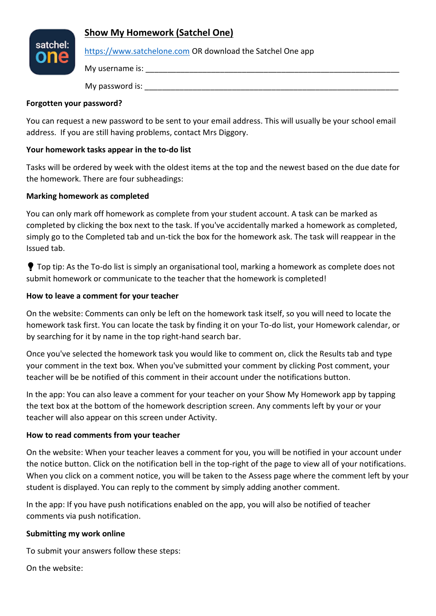# **Show My Homework (Satchel One)**



#### [https://www.satchelone.com](https://www.satchelone.com/) OR download the Satchel One app

My username is:  $\blacksquare$ 

My password is:  $\blacksquare$ 

#### **Forgotten your password?**

You can request a new password to be sent to your email address. This will usually be your school email address. If you are still having problems, contact Mrs Diggory.

## **Your homework tasks appear in the to-do list**

Tasks will be ordered by week with the oldest items at the top and the newest based on the due date for the homework. There are four subheadings:

#### **Marking homework as completed**

You can only mark off homework as complete from your student account. A task can be marked as completed by clicking the box next to the task. If you've accidentally marked a homework as completed, simply go to the Completed tab and un-tick the box for the homework ask. The task will reappear in the Issued tab.

**T** Top tip: As the To-do list is simply an organisational tool, marking a homework as complete does not submit homework or communicate to the teacher that the homework is completed!

## **How to leave a comment for your teacher**

On the website: Comments can only be left on the homework task itself, so you will need to locate the homework task first. You can locate the task by finding it on your To-do list, your Homework calendar, or by searching for it by name in the top right-hand search bar.

Once you've selected the homework task you would like to comment on, click the Results tab and type your comment in the text box. When you've submitted your comment by clicking Post comment, your teacher will be be notified of this comment in their account under the notifications button.

In the app: You can also leave a comment for your teacher on your Show My Homework app by tapping the text box at the bottom of the homework description screen. Any comments left by your or your teacher will also appear on this screen under Activity.

## **How to read comments from your teacher**

On the website: When your teacher leaves a comment for you, you will be notified in your account under the notice button. Click on the notification bell in the top-right of the page to view all of your notifications. When you click on a comment notice, you will be taken to the Assess page where the comment left by your student is displayed. You can reply to the comment by simply adding another comment.

In the app: If you have push notifications enabled on the app, you will also be notified of teacher comments via push notification.

## **Submitting my work online**

To submit your answers follow these steps:

On the website: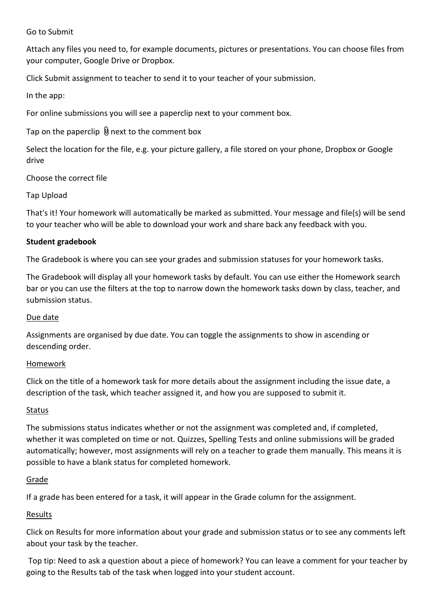#### Go to Submit

Attach any files you need to, for example documents, pictures or presentations. You can choose files from your computer, Google Drive or Dropbox.

Click Submit assignment to teacher to send it to your teacher of your submission.

In the app:

For online submissions you will see a paperclip next to your comment box.

Tap on the paperclip  $\emptyset$  next to the comment box

Select the location for the file, e.g. your picture gallery, a file stored on your phone, Dropbox or Google drive

Choose the correct file

Tap Upload

That's it! Your homework will automatically be marked as submitted. Your message and file(s) will be send to your teacher who will be able to download your work and share back any feedback with you.

## **Student gradebook**

The Gradebook is where you can see your grades and submission statuses for your homework tasks.

The Gradebook will display all your homework tasks by default. You can use either the Homework search bar or you can use the filters at the top to narrow down the homework tasks down by class, teacher, and submission status.

#### Due date

Assignments are organised by due date. You can toggle the assignments to show in ascending or descending order.

## Homework

Click on the title of a homework task for more details about the assignment including the issue date, a description of the task, which teacher assigned it, and how you are supposed to submit it.

## **Status**

The submissions status indicates whether or not the assignment was completed and, if completed, whether it was completed on time or not. Quizzes, Spelling Tests and online submissions will be graded automatically; however, most assignments will rely on a teacher to grade them manually. This means it is possible to have a blank status for completed homework.

## Grade

If a grade has been entered for a task, it will appear in the Grade column for the assignment.

## Results

Click on Results for more information about your grade and submission status or to see any comments left about your task by the teacher.

Top tip: Need to ask a question about a piece of homework? You can leave a comment for your teacher by going to the Results tab of the task when logged into your student account.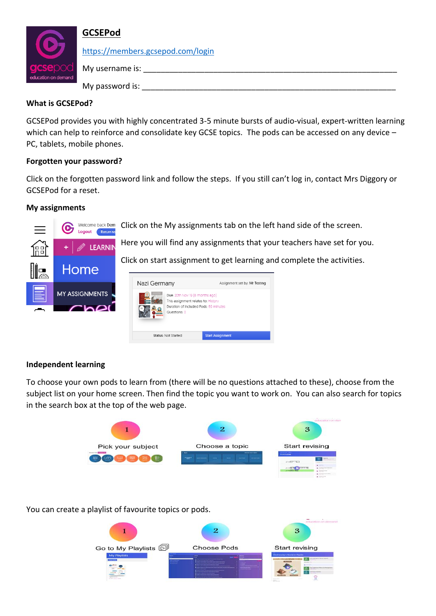

# **GCSEPod**

<https://members.gcsepod.com/login>

My username is:  $\blacksquare$ My password is:  $\blacksquare$ 

## **What is GCSEPod?**

GCSEPod provides you with highly concentrated 3-5 minute bursts of audio-visual, expert-written learning which can help to reinforce and consolidate key GCSE topics. The pods can be accessed on any device -PC, tablets, mobile phones.

## **Forgotten your password?**

Click on the forgotten password link and follow the steps. If you still can't log in, contact Mrs Diggory or GCSEPod for a reset.

## **My assignments**

G

Home

**MY ASSIGNMENTS** 

 $200$ 

Click on the My assignments tab on the left hand side of the screen. Welcome back Dem Logout Return to



Click on start assignment to get learning and complete the activities.



# **Independent learning**

To choose your own pods to learn from (there will be no questions attached to these), choose from the subject list on your home screen. Then find the topic you want to work on. You can also search for topics in the search box at the top of the web page.